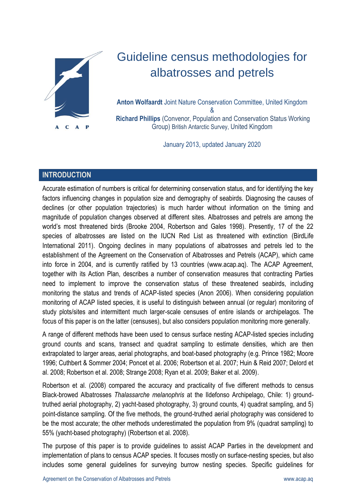

**Anton Wolfaardt** Joint Nature Conservation Committee, United Kingdom & **Richard Phillips** (Convenor, Population and Conservation Status Working Group) British Antarctic Survey, United Kingdom

January 2013, updated January 2020

## **INTRODUCTION**

Accurate estimation of numbers is critical for determining conservation status, and for identifying the key factors influencing changes in population size and demography of seabirds. Diagnosing the causes of declines (or other population trajectories) is much harder without information on the timing and magnitude of population changes observed at different sites. Albatrosses and petrels are among the world's most threatened birds (Brooke 2004, Robertson and Gales 1998). Presently, 17 of the 22 species of albatrosses are listed on the IUCN Red List as threatened with extinction (BirdLife International 2011). Ongoing declines in many populations of albatrosses and petrels led to the establishment of the Agreement on the Conservation of Albatrosses and Petrels (ACAP), which came into force in 2004, and is currently ratified by 13 countries (www.acap.aq). The ACAP Agreement, together with its Action Plan, describes a number of conservation measures that contracting Parties need to implement to improve the conservation status of these threatened seabirds, including monitoring the status and trends of ACAP-listed species (Anon 2006). When considering population monitoring of ACAP listed species, it is useful to distinguish between annual (or regular) monitoring of study plots/sites and intermittent much larger-scale censuses of entire islands or archipelagos. The focus of this paper is on the latter (censuses), but also considers population monitoring more generally.

A range of different methods have been used to census surface nesting ACAP-listed species including ground counts and scans, transect and quadrat sampling to estimate densities, which are then extrapolated to larger areas, aerial photographs, and boat-based photography (e.g. Prince 1982; Moore 1996; Cuthbert & Sommer 2004; Poncet et al. 2006; Robertson et al. 2007; Huin & Reid 2007; Delord et al. 2008; Robertson et al. 2008; Strange 2008; Ryan et al. 2009; Baker et al. 2009).

Robertson et al. (2008) compared the accuracy and practicality of five different methods to census Black-browed Albatrosses *Thalassarche melanophris* at the Ildefonso Archipelago, Chile: 1) groundtruthed aerial photography, 2) yacht-based photography, 3) ground counts, 4) quadrat sampling, and 5) point-distance sampling. Of the five methods, the ground-truthed aerial photography was considered to be the most accurate; the other methods underestimated the population from 9% (quadrat sampling) to 55% (yacht-based photography) (Robertson et al. 2008).

The purpose of this paper is to provide guidelines to assist ACAP Parties in the development and implementation of plans to census ACAP species. It focuses mostly on surface-nesting species, but also includes some general guidelines for surveying burrow nesting species. Specific guidelines for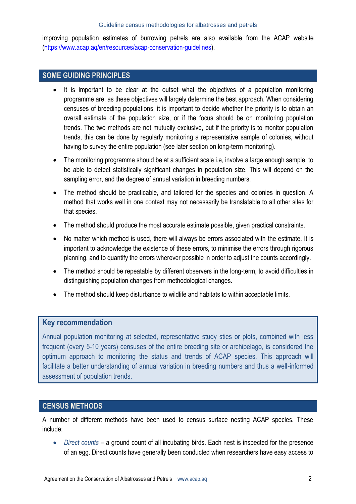improving population estimates of burrowing petrels are also available from the ACAP website [\(https://www.acap.aq/en/resources/acap-conservation-guidelines\)](https://www.acap.aq/en/resources/acap-conservation-guidelines).

## **SOME GUIDING PRINCIPLES**

- It is important to be clear at the outset what the objectives of a population monitoring programme are, as these objectives will largely determine the best approach. When considering censuses of breeding populations, it is important to decide whether the priority is to obtain an overall estimate of the population size, or if the focus should be on monitoring population trends. The two methods are not mutually exclusive, but if the priority is to monitor population trends, this can be done by regularly monitoring a representative sample of colonies, without having to survey the entire population (see later section on long-term monitoring).
- The monitoring programme should be at a sufficient scale i.e, involve a large enough sample, to be able to detect statistically significant changes in population size. This will depend on the sampling error, and the degree of annual variation in breeding numbers.
- The method should be practicable, and tailored for the species and colonies in question. A method that works well in one context may not necessarily be translatable to all other sites for that species.
- The method should produce the most accurate estimate possible, given practical constraints.
- No matter which method is used, there will always be errors associated with the estimate. It is important to acknowledge the existence of these errors, to minimise the errors through rigorous planning, and to quantify the errors wherever possible in order to adjust the counts accordingly.
- The method should be repeatable by different observers in the long-term, to avoid difficulties in distinguishing population changes from methodological changes.
- The method should keep disturbance to wildlife and habitats to within acceptable limits.

## **Key recommendation**

Annual population monitoring at selected, representative study sties or plots, combined with less frequent (every 5-10 years) censuses of the entire breeding site or archipelago, is considered the optimum approach to monitoring the status and trends of ACAP species. This approach will facilitate a better understanding of annual variation in breeding numbers and thus a well-informed assessment of population trends.

## **CENSUS METHODS**

A number of different methods have been used to census surface nesting ACAP species. These include:

 *Direct counts* – a ground count of all incubating birds. Each nest is inspected for the presence of an egg. Direct counts have generally been conducted when researchers have easy access to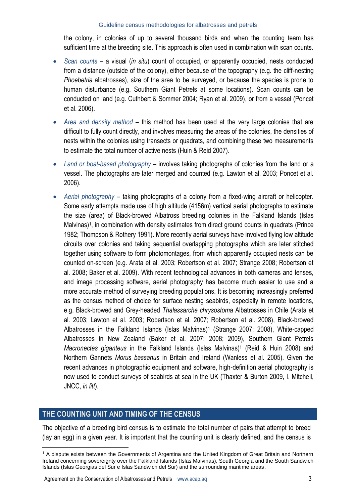the colony, in colonies of up to several thousand birds and when the counting team has sufficient time at the breeding site. This approach is often used in combination with scan counts.

- *Scan counts* a visual (*in situ*) count of occupied, or apparently occupied, nests conducted from a distance (outside of the colony), either because of the topography (e.g. the cliff-nesting *Phoebetria* albatrosses), size of the area to be surveyed, or because the species is prone to human disturbance (e.g. Southern Giant Petrels at some locations). Scan counts can be conducted on land (e.g. Cuthbert & Sommer 2004; Ryan et al. 2009), or from a vessel (Poncet et al. 2006).
- *Area and density method* this method has been used at the very large colonies that are difficult to fully count directly, and involves measuring the areas of the colonies, the densities of nests within the colonies using transects or quadrats, and combining these two measurements to estimate the total number of active nests (Huin & Reid 2007).
- *Land or boat-based photography –* involves taking photographs of colonies from the land or a vessel. The photographs are later merged and counted (e.g. Lawton et al. 2003; Poncet et al. 2006).
- *Aerial photography –* taking photographs of a colony from a fixed-wing aircraft or helicopter. Some early attempts made use of high altitude (4156m) vertical aerial photographs to estimate the size (area) of Black-browed Albatross breeding colonies in the Falkland Islands (Islas Malvinas)<sup>1</sup>, in combination with density estimates from direct ground counts in quadrats (Prince 1982; Thompson & Rothery 1991). More recently aerial surveys have involved flying low altitude circuits over colonies and taking sequential overlapping photographs which are later stitched together using software to form photomontages, from which apparently occupied nests can be counted on-screen (e.g. Arata et al. 2003; Robertson et al. 2007; Strange 2008; Robertson et al. 2008; Baker et al. 2009). With recent technological advances in both cameras and lenses, and image processing software, aerial photography has become much easier to use and a more accurate method of surveying breeding populations. It is becoming increasingly preferred as the census method of choice for surface nesting seabirds, especially in remote locations, e.g. Black-browed and Grey-headed *Thalassarche chrysostoma* Albatrosses in Chile (Arata et al. 2003; Lawton et al. 2003; Robertson et al. 2007; Robertson et al. 2008), Black-browed Albatrosses in the Falkland Islands (Islas Malvinas)<sup>1</sup> (Strange 2007; 2008), White-capped Albatrosses in New Zealand (Baker et al. 2007; 2008; 2009), Southern Giant Petrels Macronectes giganteus in the Falkland Islands (Islas Malvinas)<sup>1</sup> (Reid & Huin 2008) and Northern Gannets *Morus bassanus* in Britain and Ireland (Wanless et al. 2005). Given the recent advances in photographic equipment and software, high-definition aerial photography is now used to conduct surveys of seabirds at sea in the UK (Thaxter & Burton 2009, I. Mitchell, JNCC, *in litt*).

# **THE COUNTING UNIT AND TIMING OF THE CENSUS**

 $\overline{a}$ 

The objective of a breeding bird census is to estimate the total number of pairs that attempt to breed (lay an egg) in a given year. It is important that the counting unit is clearly defined, and the census is

 $<sup>1</sup>$  A dispute exists between the Governments of Argentina and the United Kingdom of Great Britain and Northern</sup> Ireland concerning sovereignty over the Falkland Islands (Islas Malvinas), South Georgia and the South Sandwich Islands (Islas Georgias del Sur e Islas Sandwich del Sur) and the surrounding maritime areas.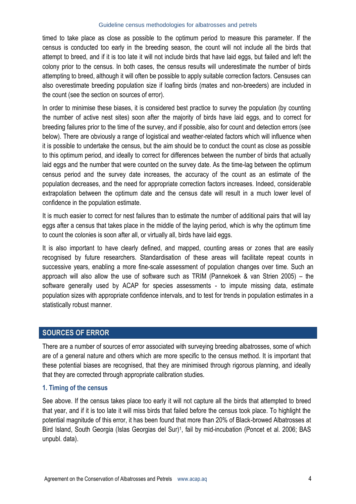timed to take place as close as possible to the optimum period to measure this parameter. If the census is conducted too early in the breeding season, the count will not include all the birds that attempt to breed, and if it is too late it will not include birds that have laid eggs, but failed and left the colony prior to the census. In both cases, the census results will underestimate the number of birds attempting to breed, although it will often be possible to apply suitable correction factors. Censuses can also overestimate breeding population size if loafing birds (mates and non-breeders) are included in the count (see the section on sources of error).

In order to minimise these biases, it is considered best practice to survey the population (by counting the number of active nest sites) soon after the majority of birds have laid eggs, and to correct for breeding failures prior to the time of the survey, and if possible, also for count and detection errors (see below). There are obviously a range of logistical and weather-related factors which will influence when it is possible to undertake the census, but the aim should be to conduct the count as close as possible to this optimum period, and ideally to correct for differences between the number of birds that actually laid eggs and the number that were counted on the survey date. As the time-lag between the optimum census period and the survey date increases, the accuracy of the count as an estimate of the population decreases, and the need for appropriate correction factors increases. Indeed, considerable extrapolation between the optimum date and the census date will result in a much lower level of confidence in the population estimate.

It is much easier to correct for nest failures than to estimate the number of additional pairs that will lay eggs after a census that takes place in the middle of the laying period, which is why the optimum time to count the colonies is soon after all, or virtually all, birds have laid eggs.

It is also important to have clearly defined, and mapped, counting areas or zones that are easily recognised by future researchers. Standardisation of these areas will facilitate repeat counts in successive years, enabling a more fine-scale assessment of population changes over time. Such an approach will also allow the use of software such as TRIM (Pannekoek & van Strien 2005) – the software generally used by ACAP for species assessments - to impute missing data, estimate population sizes with appropriate confidence intervals, and to test for trends in population estimates in a statistically robust manner.

## **SOURCES OF ERROR**

There are a number of sources of error associated with surveying breeding albatrosses, some of which are of a general nature and others which are more specific to the census method. It is important that these potential biases are recognised, that they are minimised through rigorous planning, and ideally that they are corrected through appropriate calibration studies.

#### **1. Timing of the census**

See above. If the census takes place too early it will not capture all the birds that attempted to breed that year, and if it is too late it will miss birds that failed before the census took place. To highlight the potential magnitude of this error, it has been found that more than 20% of Black-browed Albatrosses at Bird Island, South Georgia (Islas Georgias del Sur)<sup>1</sup>, fail by mid-incubation (Poncet et al. 2006; BAS unpubl. data).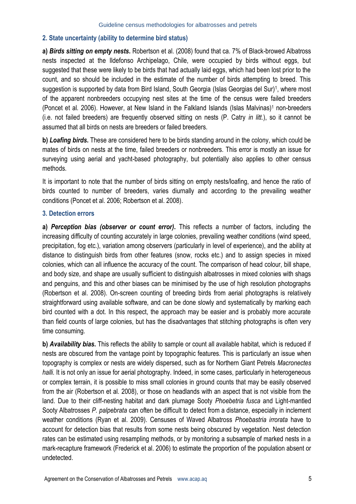#### **2. State uncertainty (ability to determine bird status)**

**a)** *Birds sitting on empty nests***.** Robertson et al. (2008) found that ca. 7% of Black-browed Albatross nests inspected at the Ildefonso Archipelago, Chile, were occupied by birds without eggs, but suggested that these were likely to be birds that had actually laid eggs, which had been lost prior to the count, and so should be included in the estimate of the number of birds attempting to breed. This suggestion is supported by data from Bird Island, South Georgia (Islas Georgias del Sur)<sup>1</sup>, where most of the apparent nonbreeders occupying nest sites at the time of the census were failed breeders (Poncet et al*.* 2006). However, at New Island in the Falkland Islands (Islas Malvinas)<sup>1</sup> non-breeders (i.e. not failed breeders) are frequently observed sitting on nests (P. Catry *in litt.*), so it cannot be assumed that all birds on nests are breeders or failed breeders.

**b)** *Loafing birds***.** These are considered here to be birds standing around in the colony, which could be mates of birds on nests at the time, failed breeders or nonbreeders. This error is mostly an issue for surveying using aerial and yacht-based photography, but potentially also applies to other census methods.

It is important to note that the number of birds sitting on empty nests/loafing, and hence the ratio of birds counted to number of breeders, varies diurnally and according to the prevailing weather conditions (Poncet et al. 2006; Robertson et al. 2008).

#### **3. Detection errors**

**a)** *Perception bias (observer or count error)***.** This reflects a number of factors, including the increasing difficulty of counting accurately in large colonies, prevailing weather conditions (wind speed, precipitation, fog etc.), variation among observers (particularly in level of experience), and the ability at distance to distinguish birds from other features (snow, rocks etc.) and to assign species in mixed colonies, which can all influence the accuracy of the count. The comparison of head colour, bill shape, and body size, and shape are usually sufficient to distinguish albatrosses in mixed colonies with shags and penguins, and this and other biases can be minimised by the use of high resolution photographs (Robertson et al. 2008). On-screen counting of breeding birds from aerial photographs is relatively straightforward using available software, and can be done slowly and systematically by marking each bird counted with a dot. In this respect, the approach may be easier and is probably more accurate than field counts of large colonies, but has the disadvantages that stitching photographs is often very time consuming.

**b)** *Availability bias***.** This reflects the ability to sample or count all available habitat, which is reduced if nests are obscured from the vantage point by topographic features. This is particularly an issue when topography is complex or nests are widely dispersed, such as for Northern Giant Petrels *Macronectes halli.* It is not only an issue for aerial photography. Indeed, in some cases, particularly in heterogeneous or complex terrain, it is possible to miss small colonies in ground counts that may be easily observed from the air (Robertson et al. 2008), or those on headlands with an aspect that is not visible from the land. Due to their cliff-nesting habitat and dark plumage Sooty *Phoebetria fusca* and Light-mantled Sooty Albatrosses *P. palpebrata* can often be difficult to detect from a distance, especially in inclement weather conditions (Ryan et al. 2009). Censuses of Waved Albatross *Phoebastria irrorata* have to account for detection bias that results from some nests being obscured by vegetation. Nest detection rates can be estimated using resampling methods, or by monitoring a subsample of marked nests in a mark-recapture framework (Frederick et al. 2006) to estimate the proportion of the population absent or undetected.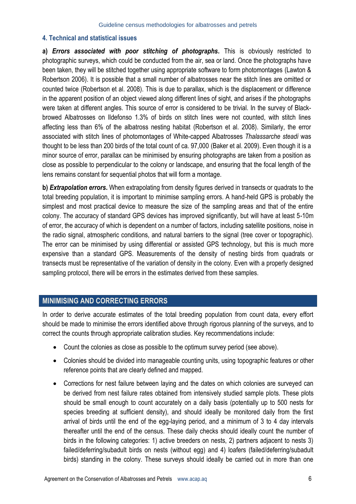#### **4. Technical and statistical issues**

**a)** *Errors associated with poor stitching of photographs***.** This is obviously restricted to photographic surveys, which could be conducted from the air, sea or land. Once the photographs have been taken, they will be stitched together using appropriate software to form photomontages (Lawton & Robertson 2006). It is possible that a small number of albatrosses near the stitch lines are omitted or counted twice (Robertson et al. 2008). This is due to parallax, which is the displacement or difference in the apparent position of an object viewed along different lines of sight, and arises if the photographs were taken at different angles. This source of error is considered to be trivial. In the survey of Blackbrowed Albatrosses on Ildefonso 1.3% of birds on stitch lines were not counted, with stitch lines affecting less than 6% of the albatross nesting habitat (Robertson et al. 2008). Similarly, the error associated with stitch lines of photomontages of White-capped Albatrosses *Thalassarche steadi* was thought to be less than 200 birds of the total count of ca. 97,000 (Baker et al. 2009). Even though it is a minor source of error, parallax can be minimised by ensuring photographs are taken from a position as close as possible to perpendicular to the colony or landscape, and ensuring that the focal length of the lens remains constant for sequential photos that will form a montage.

**b)** *Extrapolation errors***.** When extrapolating from density figures derived in transects or quadrats to the total breeding population, it is important to minimise sampling errors. A hand-held GPS is probably the simplest and most practical device to measure the size of the sampling areas and that of the entire colony. The accuracy of standard GPS devices has improved significantly, but will have at least 5-10m of error, the accuracy of which is dependent on a number of factors, including satellite positions, noise in the radio signal, atmospheric conditions, and natural barriers to the signal (tree cover or topographic). The error can be minimised by using differential or assisted GPS technology, but this is much more expensive than a standard GPS. Measurements of the density of nesting birds from quadrats or transects must be representative of the variation of density in the colony. Even with a properly designed sampling protocol, there will be errors in the estimates derived from these samples.

# **MINIMISING AND CORRECTING ERRORS**

In order to derive accurate estimates of the total breeding population from count data, every effort should be made to minimise the errors identified above through rigorous planning of the surveys, and to correct the counts through appropriate calibration studies. Key recommendations include:

- Count the colonies as close as possible to the optimum survey period (see above).
- Colonies should be divided into manageable counting units, using topographic features or other reference points that are clearly defined and mapped.
- Corrections for nest failure between laying and the dates on which colonies are surveyed can be derived from nest failure rates obtained from intensively studied sample plots. These plots should be small enough to count accurately on a daily basis (potentially up to 500 nests for species breeding at sufficient density), and should ideally be monitored daily from the first arrival of birds until the end of the egg-laying period, and a minimum of 3 to 4 day intervals thereafter until the end of the census. These daily checks should ideally count the number of birds in the following categories: 1) active breeders on nests, 2) partners adjacent to nests 3) failed/deferring/subadult birds on nests (without egg) and 4) loafers (failed/deferring/subadult birds) standing in the colony. These surveys should ideally be carried out in more than one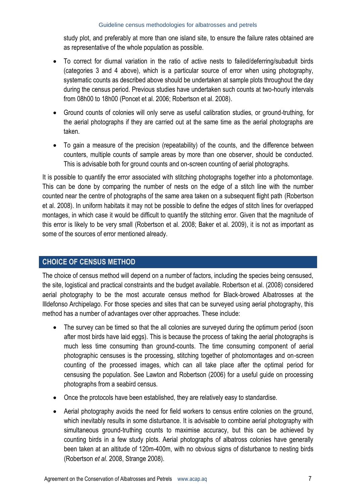study plot, and preferably at more than one island site, to ensure the failure rates obtained are as representative of the whole population as possible.

- To correct for diurnal variation in the ratio of active nests to failed/deferring/subadult birds (categories 3 and 4 above), which is a particular source of error when using photography, systematic counts as described above should be undertaken at sample plots throughout the day during the census period. Previous studies have undertaken such counts at two-hourly intervals from 08h00 to 18h00 (Poncet et al. 2006; Robertson et al. 2008).
- Ground counts of colonies will only serve as useful calibration studies, or ground-truthing, for the aerial photographs if they are carried out at the same time as the aerial photographs are taken.
- To gain a measure of the precision (repeatability) of the counts, and the difference between counters, multiple counts of sample areas by more than one observer, should be conducted. This is advisable both for ground counts and on-screen counting of aerial photographs.

It is possible to quantify the error associated with stitching photographs together into a photomontage. This can be done by comparing the number of nests on the edge of a stitch line with the number counted near the centre of photographs of the same area taken on a subsequent flight path (Robertson et al. 2008). In uniform habitats it may not be possible to define the edges of stitch lines for overlapped montages, in which case it would be difficult to quantify the stitching error. Given that the magnitude of this error is likely to be very small (Robertson et al. 2008; Baker et al. 2009), it is not as important as some of the sources of error mentioned already.

# **CHOICE OF CENSUS METHOD**

The choice of census method will depend on a number of factors, including the species being censused, the site, logistical and practical constraints and the budget available. Robertson et al. (2008) considered aerial photography to be the most accurate census method for Black-browed Albatrosses at the Illdefonso Archipelago. For those species and sites that can be surveyed using aerial photography, this method has a number of advantages over other approaches. These include:

- The survey can be timed so that the all colonies are surveyed during the optimum period (soon after most birds have laid eggs). This is because the process of taking the aerial photographs is much less time consuming than ground-counts. The time consuming component of aerial photographic censuses is the processing, stitching together of photomontages and on-screen counting of the processed images, which can all take place after the optimal period for censusing the population. See Lawton and Robertson (2006) for a useful guide on processing photographs from a seabird census.
- Once the protocols have been established, they are relatively easy to standardise.
- Aerial photography avoids the need for field workers to census entire colonies on the ground, which inevitably results in some disturbance. It is advisable to combine aerial photography with simultaneous ground-truthing counts to maximise accuracy, but this can be achieved by counting birds in a few study plots. Aerial photographs of albatross colonies have generally been taken at an altitude of 120m-400m, with no obvious signs of disturbance to nesting birds (Robertson *et al.* 2008, Strange 2008).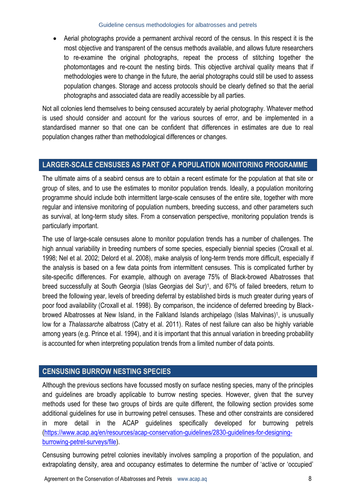Aerial photographs provide a permanent archival record of the census. In this respect it is the most objective and transparent of the census methods available, and allows future researchers to re-examine the original photographs, repeat the process of stitching together the photomontages and re-count the nesting birds. This objective archival quality means that if methodologies were to change in the future, the aerial photographs could still be used to assess population changes. Storage and access protocols should be clearly defined so that the aerial photographs and associated data are readily accessible by all parties.

Not all colonies lend themselves to being censused accurately by aerial photography. Whatever method is used should consider and account for the various sources of error, and be implemented in a standardised manner so that one can be confident that differences in estimates are due to real population changes rather than methodological differences or changes.

# **LARGER-SCALE CENSUSES AS PART OF A POPULATION MONITORING PROGRAMME**

The ultimate aims of a seabird census are to obtain a recent estimate for the population at that site or group of sites, and to use the estimates to monitor population trends. Ideally, a population monitoring programme should include both intermittent large-scale censuses of the entire site, together with more regular and intensive monitoring of population numbers, breeding success, and other parameters such as survival, at long-term study sites. From a conservation perspective, monitoring population trends is particularly important.

The use of large-scale censuses alone to monitor population trends has a number of challenges. The high annual variability in breeding numbers of some species, especially biennial species (Croxall et al. 1998; Nel et al. 2002; Delord et al. 2008), make analysis of long-term trends more difficult, especially if the analysis is based on a few data points from intermittent censuses. This is complicated further by site-specific differences. For example, although on average 75% of Black-browed Albatrosses that breed successfully at South Georgia (Islas Georgias del Sur)<sup>1</sup> , and 67% of failed breeders, return to breed the following year, levels of breeding deferral by established birds is much greater during years of poor food availability (Croxall et al. 1998). By comparison, the incidence of deferred breeding by Blackbrowed Albatrosses at New Island, in the Falkland Islands archipelago (Islas Malvinas)<sup>1</sup>, is unusually low for a *Thalassarche* albatross (Catry et al. 2011). Rates of nest failure can also be highly variable among years (e.g. Prince et al. 1994), and it is important that this annual variation in breeding probability is accounted for when interpreting population trends from a limited number of data points.

# **CENSUSING BURROW NESTING SPECIES**

Although the previous sections have focussed mostly on surface nesting species, many of the principles and guidelines are broadly applicable to burrow nesting species. However, given that the survey methods used for these two groups of birds are quite different, the following section provides some additional guidelines for use in burrowing petrel censuses. These and other constraints are considered in more detail in the ACAP guidelines specifically developed for burrowing petrels [\(https://www.acap.aq/en/resources/acap-conservation-guidelines/2830-guidelines-for-designing](https://www.acap.aq/en/resources/acap-conservation-guidelines/2830-guidelines-for-designing-burrowing-petrel-surveys/file)[burrowing-petrel-surveys/file\)](https://www.acap.aq/en/resources/acap-conservation-guidelines/2830-guidelines-for-designing-burrowing-petrel-surveys/file).

Censusing burrowing petrel colonies inevitably involves sampling a proportion of the population, and extrapolating density, area and occupancy estimates to determine the number of 'active or 'occupied'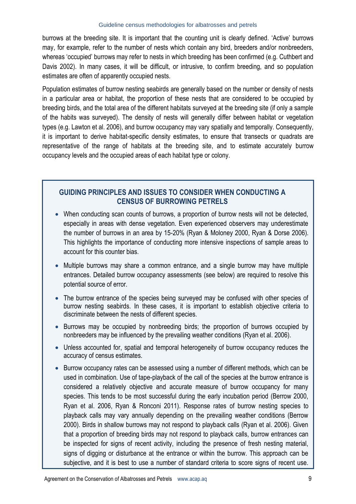burrows at the breeding site. It is important that the counting unit is clearly defined. 'Active' burrows may, for example, refer to the number of nests which contain any bird, breeders and/or nonbreeders, whereas 'occupied' burrows may refer to nests in which breeding has been confirmed (e.g. Cuthbert and Davis 2002). In many cases, it will be difficult, or intrusive, to confirm breeding, and so population estimates are often of apparently occupied nests.

Population estimates of burrow nesting seabirds are generally based on the number or density of nests in a particular area or habitat, the proportion of these nests that are considered to be occupied by breeding birds, and the total area of the different habitats surveyed at the breeding site (if only a sample of the habits was surveyed). The density of nests will generally differ between habitat or vegetation types (e.g. Lawton et al. 2006), and burrow occupancy may vary spatially and temporally. Consequently, it is important to derive habitat-specific density estimates, to ensure that transects or quadrats are representative of the range of habitats at the breeding site, and to estimate accurately burrow occupancy levels and the occupied areas of each habitat type or colony.

# **GUIDING PRINCIPLES AND ISSUES TO CONSIDER WHEN CONDUCTING A CENSUS OF BURROWING PETRELS**

- When conducting scan counts of burrows, a proportion of burrow nests will not be detected, especially in areas with dense vegetation. Even experienced observers may underestimate the number of burrows in an area by 15-20% (Ryan & Moloney 2000, Ryan & Dorse 2006). This highlights the importance of conducting more intensive inspections of sample areas to account for this counter bias.
- Multiple burrows may share a common entrance, and a single burrow may have multiple entrances. Detailed burrow occupancy assessments (see below) are required to resolve this potential source of error.
- The burrow entrance of the species being surveyed may be confused with other species of burrow nesting seabirds. In these cases, it is important to establish objective criteria to discriminate between the nests of different species.
- Burrows may be occupied by nonbreeding birds; the proportion of burrows occupied by nonbreeders may be influenced by the prevailing weather conditions (Ryan et al. 2006).
- Unless accounted for, spatial and temporal heterogeneity of burrow occupancy reduces the accuracy of census estimates.
- Burrow occupancy rates can be assessed using a number of different methods, which can be used in combination. Use of tape-playback of the call of the species at the burrow entrance is considered a relatively objective and accurate measure of burrow occupancy for many species. This tends to be most successful during the early incubation period (Berrow 2000, Ryan et al. 2006, Ryan & Ronconi 2011). Response rates of burrow nesting species to playback calls may vary annually depending on the prevailing weather conditions (Berrow 2000). Birds in shallow burrows may not respond to playback calls (Ryan et al. 2006). Given that a proportion of breeding birds may not respond to playback calls, burrow entrances can be inspected for signs of recent activity, including the presence of fresh nesting material, signs of digging or disturbance at the entrance or within the burrow. This approach can be subjective, and it is best to use a number of standard criteria to score signs of recent use.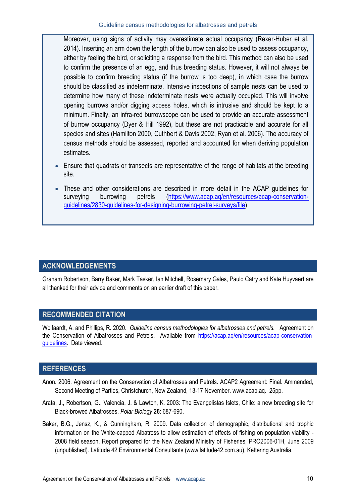Moreover, using signs of activity may overestimate actual occupancy (Rexer-Huber et al. 2014). Inserting an arm down the length of the burrow can also be used to assess occupancy, either by feeling the bird, or soliciting a response from the bird. This method can also be used to confirm the presence of an egg, and thus breeding status. However, it will not always be possible to confirm breeding status (if the burrow is too deep), in which case the burrow should be classified as indeterminate. Intensive inspections of sample nests can be used to determine how many of these indeterminate nests were actually occupied. This will involve opening burrows and/or digging access holes, which is intrusive and should be kept to a minimum. Finally, an infra-red burrowscope can be used to provide an accurate assessment of burrow occupancy (Dyer & Hill 1992), but these are not practicable and accurate for all species and sites (Hamilton 2000, Cuthbert & Davis 2002, Ryan et al. 2006). The accuracy of census methods should be assessed, reported and accounted for when deriving population estimates.

- Ensure that quadrats or transects are representative of the range of habitats at the breeding site.
- These and other considerations are described in more detail in the ACAP guidelines for surveying burrowing petrels [\(https://www.acap.aq/en/resources/acap-conservation](https://www.acap.aq/en/resources/acap-conservation-guidelines/2830-guidelines-for-designing-burrowing-petrel-surveys/file)[guidelines/2830-guidelines-for-designing-burrowing-petrel-surveys/file\)](https://www.acap.aq/en/resources/acap-conservation-guidelines/2830-guidelines-for-designing-burrowing-petrel-surveys/file)

### **ACKNOWLEDGEMENTS**

Graham Robertson, Barry Baker, Mark Tasker, Ian Mitchell, Rosemary Gales, Paulo Catry and Kate Huyvaert are all thanked for their advice and comments on an earlier draft of this paper.

### **RECOMMENDED CITATION**

Wolfaardt, A. and Phillips, R. 2020. *Guideline census methodologies for albatrosses and petrels.* Agreement on the Conservation of Albatrosses and Petrels. Available from https://acap.aq/en/resources/acap-conservationguidelines. Date viewed.

## **REFERENCES**

- Anon. 2006. Agreement on the Conservation of Albatrosses and Petrels. ACAP2 Agreement: Final. Ammended, Second Meeting of Parties, Christchurch, New Zealand, 13-17 November. www.acap.aq. 25pp.
- Arata, J., Robertson, G., Valencia, J. & Lawton, K. 2003: The Evangelistas Islets, Chile: a new breeding site for Black-browed Albatrosses. *Polar Biology* **26**: 687-690.
- Baker, B.G., Jensz, K., & Cunningham, R. 2009. Data collection of demographic, distributional and trophic information on the White-capped Albatross to allow estimation of effects of fishing on population viability - 2008 field season. Report prepared for the New Zealand Ministry of Fisheries, PRO2006-01H, June 2009 (unpublished). Latitude 42 Environmental Consultants (www.latitude42.com.au), Kettering Australia.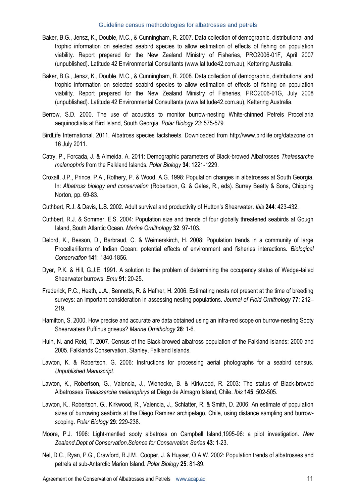- Baker, B.G., Jensz, K., Double, M.C., & Cunningham, R. 2007. Data collection of demographic, distributional and trophic information on selected seabird species to allow estimation of effects of fishing on population viability. Report prepared for the New Zealand Ministry of Fisheries, PRO2006-01F, April 2007 (unpublished). Latitude 42 Environmental Consultants (www.latitude42.com.au), Kettering Australia.
- Baker, B.G., Jensz, K., Double, M.C., & Cunningham, R. 2008. Data collection of demographic, distributional and trophic information on selected seabird species to allow estimation of effects of fishing on population viability. Report prepared for the New Zealand Ministry of Fisheries, PRO2006-01G, July 2008 (unpublished). Latitude 42 Environmental Consultants (www.latitude42.com.au), Kettering Australia.
- Berrow, S.D. 2000. The use of acoustics to monitor burrow-nesting White-chinned Petrels Procellaria aequinoctialis at Bird Island, South Georgia. *Polar Biology 23*: 575-579.
- BirdLife International. 2011. Albatross species factsheets. Downloaded from http://www.birdlife.org/datazone on 16 July 2011.
- Catry, P., Forcada, J. & Almeida, A. 2011: Demographic parameters of Black-browed Albatrosses *Thalassarche melanophris* from the Falkland Islands. *Polar Biology* **34**: 1221-1229.
- Croxall, J.P., Prince, P.A., Rothery, P. & Wood, A.G. 1998: Population changes in albatrosses at South Georgia. In: *Albatross biology and conservation* (Robertson, G. & Gales, R., eds). Surrey Beatty & Sons, Chipping Norton, pp. 69-83.
- Cuthbert, R.J. & Davis, L.S. 2002. Adult survival and productivity of Hutton's Shearwater. *Ibis* **244**: 423-432.
- Cuthbert, R.J. & Sommer, E.S. 2004: Population size and trends of four globally threatened seabirds at Gough Island, South Atlantic Ocean. *Marine Ornithology* **32**: 97-103.
- Delord, K., Besson, D., Barbraud, C. & Weimerskirch, H. 2008: Population trends in a community of large Procellariiforms of Indian Ocean: potential effects of environment and fisheries interactions. *Biological Conservation* **141**: 1840-1856.
- Dyer, P.K. & Hill, G.J.E. 1991. A solution to the problem of determining the occupancy status of Wedge-tailed Shearwater burrows. *Emu* **91**: 20-25.
- Frederick, P.C., Heath, J.A., Bennetts, R. & Hafner, H. 2006. Estimating nests not present at the time of breeding surveys: an important consideration in assessing nesting populations. *Journal of Field Ornithology* **77**: 212– 219.
- Hamilton, S. 2000. How precise and accurate are data obtained using an infra-red scope on burrow-nesting Sooty Shearwaters Puffinus griseus? *Marine Ornithology* **28**: 1-6.
- Huin, N. and Reid, T. 2007. Census of the Black-browed albatross population of the Falkland Islands: 2000 and 2005. Falklands Conservation, Stanley, Falkland Islands.
- Lawton, K. & Robertson, G. 2006: Instructions for processing aerial photographs for a seabird census. *Unpublished Manuscript*.
- Lawton, K., Robertson, G., Valencia, J., Wienecke, B. & Kirkwood, R. 2003: The status of Black-browed Albatrosses *Thalassarche melanophrys* at Diego de Almagro Island, Chile. *Ibis* **145**: 502-505.
- Lawton, K., Robertson, G., Kirkwood, R., Valencia, J., Schlatter, R. & Smith, D. 2006: An estimate of population sizes of burrowing seabirds at the Diego Ramirez archipelago, Chile, using distance sampling and burrowscoping. *Polar Biology* **29**: 229-238.
- Moore, P.J. 1996: Light-mantled sooty albatross on Campbell Island,1995-96: a pilot investigation. *New Zealand.Dept.of Conservation.Science for Conservation Series* **43**: 1-23.
- Nel, D.C., Ryan, P.G., Crawford, R.J.M., Cooper, J. & Huyser, O.A.W. 2002: Population trends of albatrosses and petrels at sub-Antarctic Marion Island. *Polar Biology* **25**: 81-89.